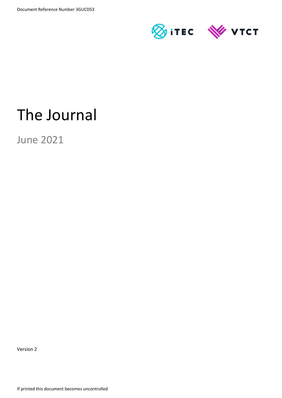

# The Journal

June 2021

Version 2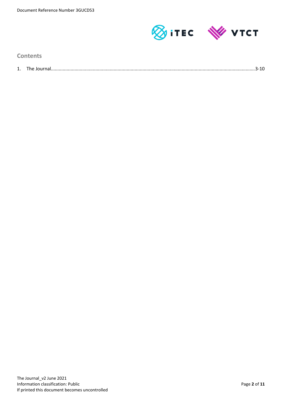

|  | onten |  |
|--|-------|--|
|--|-------|--|

| ⊥. |  |
|----|--|
|    |  |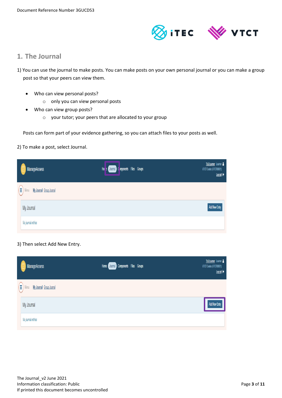

# **1. The Journal**

- 1) You can use the journal to make posts. You can make posts on your own personal journal or you can make a group post so that your peers can view them.
	- Who can view personal posts?
		- o only you can view personal posts
	- Who can view group posts?
		- o your tutor; your peers that are allocated to your group

Posts can form part of your evidence gathering, so you can attach files to your posts as well.

#### 2) To make a post, select Journal.

| ManageAssess                          | Hor e Cournal Components Files Groups | TLQ Learner Learner<br>VTCT Centre (VTCT00001)<br>$\underline{\text{Log out}}$ ( ) |
|---------------------------------------|---------------------------------------|------------------------------------------------------------------------------------|
| Ξ<br>My Journal Group Journal<br>Menu |                                       |                                                                                    |
| My Journal                            |                                       | Add New Entry                                                                      |
| No journal entries                    |                                       |                                                                                    |

### 3) Then select Add New Entry.

|                          | ManageAssess                     | Home Journal Components Files Groups | TLQ Learner Learner<br>VTCT Centre (VTCT00001)<br>$\underline{\text{log}\,\text{out}}$ ( ) |
|--------------------------|----------------------------------|--------------------------------------|--------------------------------------------------------------------------------------------|
| $\left( \bar{=} \right)$ | My Journal Group Journal<br>Menu |                                      |                                                                                            |
|                          | My Journal                       |                                      | Add New Entry                                                                              |
|                          | No journal entries               |                                      |                                                                                            |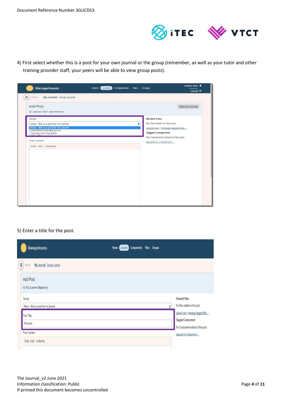

4) First select whether this is a post for your own journal or the group (remember, as well as your tutor and other training provider staff, your peers will be able to view group posts).

| ≡<br>My Journal Group Journal<br>Menu<br><b>Add Post</b><br>Back to Journal<br>by Learner Test1 (learnertest1)<br><b>Related Files</b><br>Group<br>No files added to this post.<br>÷<br>None - this is a post for my journal<br>None - this is a post for my journal<br>upload new   manage tagged files<br>Wednesday evening group<br><b>Tagged Component</b><br>Tuesday evening group<br>No Component added to this post.<br>Post Content<br>tag post to Component<br>Bold Italic Underline | ManageAssess | Home<br>Journal | Components Files Groups |  | Learner Test1 &<br>(Learner)<br>Log out $\mathbb{C}$ |
|-----------------------------------------------------------------------------------------------------------------------------------------------------------------------------------------------------------------------------------------------------------------------------------------------------------------------------------------------------------------------------------------------------------------------------------------------------------------------------------------------|--------------|-----------------|-------------------------|--|------------------------------------------------------|
|                                                                                                                                                                                                                                                                                                                                                                                                                                                                                               |              |                 |                         |  |                                                      |
|                                                                                                                                                                                                                                                                                                                                                                                                                                                                                               |              |                 |                         |  |                                                      |
|                                                                                                                                                                                                                                                                                                                                                                                                                                                                                               |              |                 |                         |  |                                                      |

#### 5) Enter a title for the post.

|   | <b>ManageAssess</b>                            | Home<br>Journal | <b>Components Files Groups</b> |  |   |                                                                                                 |
|---|------------------------------------------------|-----------------|--------------------------------|--|---|-------------------------------------------------------------------------------------------------|
| Ξ | My Journal Group Journal<br>Menu               |                 |                                |  |   |                                                                                                 |
|   | <b>Add Post</b><br>by TLQ Learner (tiglearner) |                 |                                |  |   |                                                                                                 |
|   | Group<br>None - this is a post for my journal  |                 |                                |  | ÷ | <b>Related Files</b><br>No files added to this post.                                            |
|   | <b>Post Title</b><br>Test post                 |                 |                                |  |   | upload new   manage tagged files<br><b>Tagged Component</b><br>No Component added to this post. |
|   | <b>Post Content</b><br>Bold Italic Underline   |                 |                                |  |   | tag post to Component                                                                           |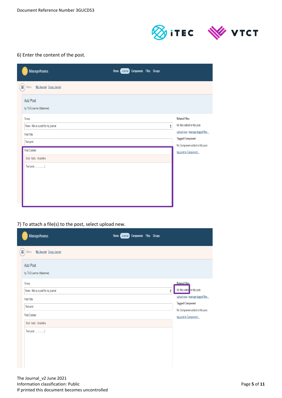



#### 6) Enter the content of the post.

|   | ManageAssess                         |  | Home Journal Components Files Groups |  |                  |                                                           |
|---|--------------------------------------|--|--------------------------------------|--|------------------|-----------------------------------------------------------|
| Ξ | My Journal Group Journal<br>Menu     |  |                                      |  |                  |                                                           |
|   | <b>Add Post</b>                      |  |                                      |  |                  |                                                           |
|   | by TLQ Learner (tIqlearner)          |  |                                      |  |                  |                                                           |
|   | Group                                |  |                                      |  |                  | <b>Related Files</b>                                      |
|   | None - this is a post for my journal |  |                                      |  | $\frac{1}{\tau}$ | No files added to this post.                              |
|   | Post Title                           |  |                                      |  |                  | upload new   manage tagged files                          |
|   | Test post                            |  |                                      |  |                  | <b>Tagged Component</b>                                   |
|   | Post Content                         |  |                                      |  |                  | No Component added to this post.<br>tag post to Component |
|   | Bold Italic Underline                |  |                                      |  |                  |                                                           |
|   | Test post                            |  |                                      |  |                  |                                                           |
|   |                                      |  |                                      |  |                  |                                                           |
|   |                                      |  |                                      |  |                  |                                                           |
|   |                                      |  |                                      |  |                  |                                                           |
|   |                                      |  |                                      |  |                  |                                                           |
|   |                                      |  |                                      |  |                  |                                                           |

### 7) To attach a file(s) to the post, select upload new.

| ManageAssess                                                                                                                    | Components Files Groups<br>Home Journal |                    |                                                                                                                                                                                 |
|---------------------------------------------------------------------------------------------------------------------------------|-----------------------------------------|--------------------|---------------------------------------------------------------------------------------------------------------------------------------------------------------------------------|
| Ξ<br>My Journal Group Journal<br>Menu                                                                                           |                                         |                    |                                                                                                                                                                                 |
| <b>Add Post</b><br>by TLQ Learner (tIqlearner)                                                                                  |                                         |                    |                                                                                                                                                                                 |
| Group<br>None - this is a post for my journal<br>Post Title<br><b>Test post</b><br><b>Post Content</b><br>Bold Italic Underline |                                         | $\hat{\mathbf{v}}$ | <b>Related Files</b><br>No files adde to this post.<br>upload new   manage tagged files<br><b>Tagged Component</b><br>No Component added to this post.<br>tag post to Component |
| Test post                                                                                                                       |                                         |                    |                                                                                                                                                                                 |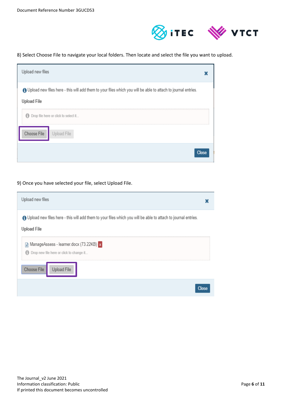

## 8) Select Choose File to navigate your local folders. Then locate and select the file you want to upload.

| Upload new files                                                                                                                      |  |
|---------------------------------------------------------------------------------------------------------------------------------------|--|
| O Upload new files here - this will add them to your files which you will be able to attach to journal entries.<br><b>Upload File</b> |  |
| Drop file here or click to select it                                                                                                  |  |
| Choose File<br>Upload File                                                                                                            |  |
| <b>Close</b>                                                                                                                          |  |

9) Once you have selected your file, select Upload File.

| Upload new files                                                                                                                      |  |
|---------------------------------------------------------------------------------------------------------------------------------------|--|
| A Upload new files here - this will add them to your files which you will be able to attach to journal entries.<br><b>Upload File</b> |  |
| ManageAssess - learner.docx (73.22KB) x<br>0<br>Drop new file here or click to change it                                              |  |
| Choose File<br>Upload File                                                                                                            |  |
| <b>Close</b>                                                                                                                          |  |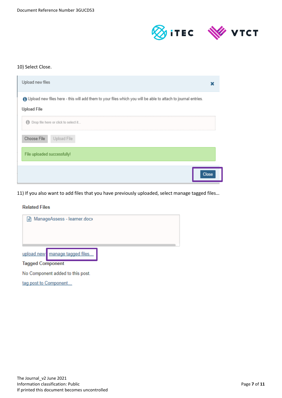

#### 10) Select Close.

| Upload new files                                                                                                                      |       |
|---------------------------------------------------------------------------------------------------------------------------------------|-------|
| A Upload new files here - this will add them to your files which you will be able to attach to journal entries.<br><b>Upload File</b> |       |
| Drop file here or click to select it                                                                                                  |       |
| Choose File<br>Upload File                                                                                                            |       |
| File uploaded successfully!                                                                                                           |       |
|                                                                                                                                       | Close |

11) If you also want to add files that you have previously uploaded, select manage tagged files…

#### **Related Files**

|                                                           | ManageAssess - learner.docx |  |
|-----------------------------------------------------------|-----------------------------|--|
| upload new manage tagged files<br><b>Tagged Component</b> |                             |  |

No Component added to this post.

tag post to Component...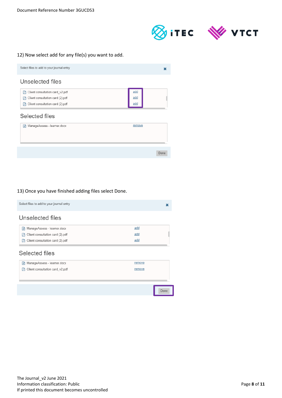



#### 12) Now select add for any file(s) you want to add.

| Select files to add to your journal entry                                                                              |                   | x    |
|------------------------------------------------------------------------------------------------------------------------|-------------------|------|
| Unselected files                                                                                                       |                   |      |
| Client consultation card v2.pdf<br>固<br>Client consultation card (2).pdf<br>萧<br>Client consultation card (2).pdf<br>固 | add<br>add<br>add |      |
| Selected files<br>ManageAssess - learner.docx                                                                          | remove            |      |
|                                                                                                                        |                   |      |
|                                                                                                                        |                   | Done |

#### 13) Once you have finished adding files select Done.

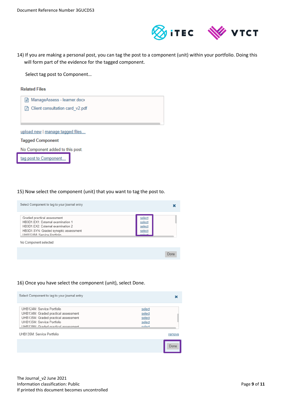

14) If you are making a personal post, you can tag the post to a component (unit) within your portfolio. Doing this will form part of the evidence for the tagged component.

Select tag post to Component…

#### **Related Files**

| 日 ManageAssess - learner.docx     |  |
|-----------------------------------|--|
| A Client consultation card v2.pdf |  |
|                                   |  |
|                                   |  |
| upload new   manage tagged files  |  |
| <b>Tagged Component</b>           |  |
| No Component added to this post.  |  |
| tag post to Component             |  |

15) Now select the component (unit) that you want to tag the post to.

| Select Component to tag to your journal entry                                                                                                                                                          |                                               |      |
|--------------------------------------------------------------------------------------------------------------------------------------------------------------------------------------------------------|-----------------------------------------------|------|
| Graded practical assessment<br>HB3D1 FX1: External examination 1<br>HB3D1.EX2: External examination 2<br>HB3D1.SYN: Graded synoptic assessment<br>LIHR124M: Service Portfolio<br>No Component selected | select<br>select<br>select<br>select<br>فملمو |      |
|                                                                                                                                                                                                        |                                               | Done |

#### 16) Once you have select the component (unit), select Done.

| Select Component to tag to your journal entry                                                                                                                                     |                                                |        |
|-----------------------------------------------------------------------------------------------------------------------------------------------------------------------------------|------------------------------------------------|--------|
| UHB124M: Service Portfolio<br>UHB134M: Graded practical assessment<br>UHB135M: Graded practical assessment<br>UHB135M: Service Portfolio<br>LIHR139M: Gradad practical assessment | select<br>select<br>select<br>select<br>colort |        |
| UHB135M: Service Portfolio                                                                                                                                                        |                                                | remove |
|                                                                                                                                                                                   |                                                | Done   |

The Journal\_v2 June 2021 Information classification: Public Page 9 of 11 If printed this document becomes uncontrolled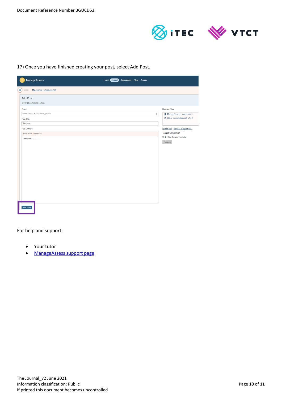

17) Once you have finished creating your post, select Add Post.

| <b>ManageAssess</b>                   | Home Journal<br><b>Components Files Groups</b>        |
|---------------------------------------|-------------------------------------------------------|
| Ξ<br>My Journal Group Journal<br>Menu |                                                       |
| <b>Add Post</b>                       |                                                       |
| by TLQ Learner (tiqlearner)           |                                                       |
| Group                                 | <b>Related Files</b>                                  |
| None - this is a post for my journal  | $\div$<br>ManageAssess - learner.docx                 |
| Post Title                            | □ Client consultation card_v2.pdf                     |
| <b>Test post</b>                      |                                                       |
| <b>Post Content</b>                   | upload new   manage tagged files                      |
| Bold Italic Underline                 | <b>Tagged Component</b><br>UHB135M: Service Portfolio |
| Test post                             | Remove                                                |
|                                       |                                                       |
|                                       |                                                       |
|                                       |                                                       |
| <b>Add Post</b>                       |                                                       |

For help and support:

- Your tutor
- [ManageAssess support page](http://www.vtct.org.uk/existing-centres/resources/manageassess/)